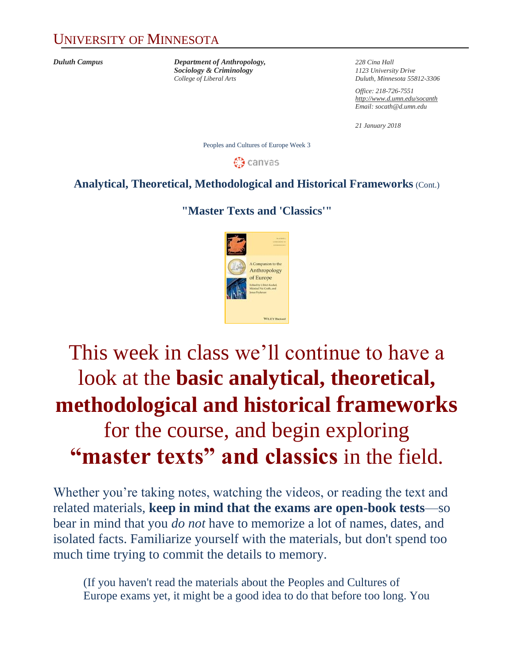### UNIVERSITY OF MINNESOTA

*Duluth Campus Department of Anthropology, 228 Cina Hall Sociology & Criminology 1123 University Drive*

*College of Liberal Arts Duluth, Minnesota 55812-3306*

*Office: 218-726-7551 <http://www.d.umn.edu/socanth> Email: socath@d.umn.edu*

*21 January 2018*

Peoples and Cultures of Europe Week 3

**ී** canvas

#### **Analytical, Theoretical, Methodological and Historical Frameworks** (Cont.)

#### **"Master Texts and 'Classics'"**



## This week in class we'll continue to have a look at the **basic analytical, theoretical, methodological and historical frameworks**  for the course, and begin exploring **"master texts" and classics** in the field.

Whether you're taking notes, watching the videos, or reading the text and related materials, **keep in mind that the exams are open-book tests**—so bear in mind that you *do not* have to memorize a lot of names, dates, and isolated facts. Familiarize yourself with the materials, but don't spend too much time trying to commit the details to memory.

(If you haven't read the materials about the Peoples and Cultures of Europe exams yet, it might be a good idea to do that before too long. You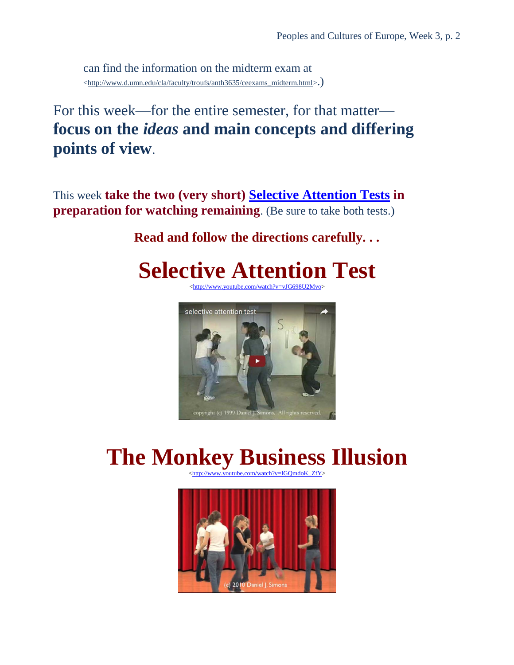can find the information on the midterm exam at [<http://www.d.umn.edu/cla/faculty/troufs/anth3635/ceexams\\_midterm.html>](http://www.d.umn.edu/cla/faculty/troufs/anth3635/ceexams_midterm.html).)

For this week—for the entire semester, for that matter **focus on the** *ideas* **and main concepts and differing points of view**.

This week **take the two (very short) [Selective Attention Tests](http://www.d.umn.edu/cla/faculty/troufs/selective_attention_tests.html#title) in preparation for watching remaining**. (Be sure to take both tests.)

#### **Read and follow the directions carefully. . .**

## **Selective Attention Test**

[<http://www.youtube.com/watch?v=vJG698U2Mvo>](http://www.youtube.com/watch?v=vJG698U2Mvo)



## **The Monkey Business Illusion**

.com/watch?v=IGOmdoK\_ZfY>

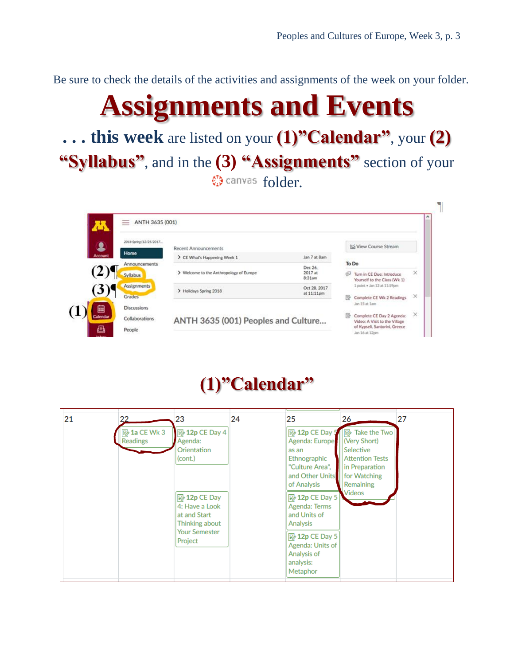Be sure to check the details of the activities and assignments of the week on your folder.

# **Assignments and Events**

**. . . this week** are listed on your **(1)"Calendar"**, your **(2) "Syllabus"**, and in the **(3) "Assignments"** section of your **W** canvas folder.



### **(1)"Calendar"**

| 21<br>22                 | 23                                                                                                                                                                    | 24 | 25                                                                                                                                                                                                                                                                           | 26                                                                                                                                        | 27 |
|--------------------------|-----------------------------------------------------------------------------------------------------------------------------------------------------------------------|----|------------------------------------------------------------------------------------------------------------------------------------------------------------------------------------------------------------------------------------------------------------------------------|-------------------------------------------------------------------------------------------------------------------------------------------|----|
| ■ 1a CE Wk 3<br>Readings | ■ 12p CE Day 4<br>Agenda:<br>Orientation<br>(cont.)<br>$\mathbb{R}$ 12p CE Day<br>4: Have a Look<br>at and Start<br>Thinking about<br><b>Your Semester</b><br>Project |    | B 12p CE Day 5<br>Agenda: Europe<br>as an<br>Ethnographic<br>"Culture Area",<br>and Other Units<br>of Analysis<br>$\boxed{5}$ 12p CE Day 5<br><b>Agenda: Terms</b><br>and Units of<br>Analysis<br>■ 12p CE Day 5<br>Agenda: Units of<br>Analysis of<br>analysis:<br>Metaphor | $\mathbb{R}$ Take the Two<br>(Very Short)<br>Selective<br><b>Attention Tests</b><br>in Preparation<br>for Watching<br>Remaining<br>Videos |    |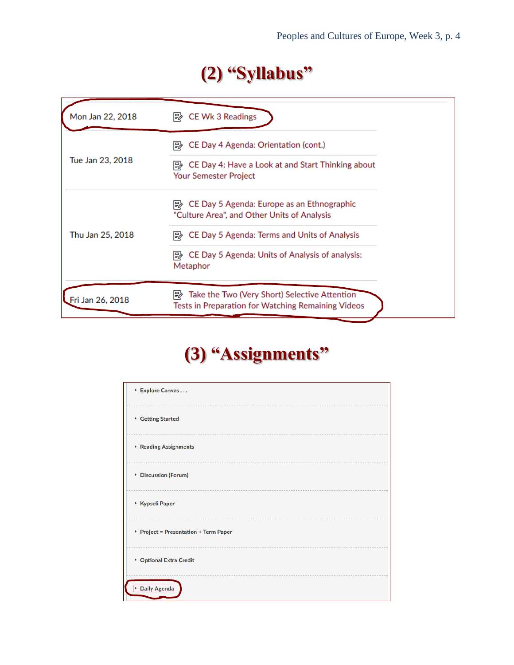### **(2) "Syllabus"**

| Mon Jan 22, 2018 | CE Wk 3 Readings<br>⊯                                                                                    |  |
|------------------|----------------------------------------------------------------------------------------------------------|--|
| Tue Jan 23, 2018 | CE Day 4 Agenda: Orientation (cont.)<br>⊯                                                                |  |
|                  | CE Day 4: Have a Look at and Start Thinking about<br>⊯<br>Your Semester Project                          |  |
| Thu Jan 25, 2018 | CE Day 5 Agenda: Europe as an Ethnographic<br>I₩<br>"Culture Area", and Other Units of Analysis          |  |
|                  | CE Day 5 Agenda: Terms and Units of Analysis<br>⊯                                                        |  |
|                  | CE Day 5 Agenda: Units of Analysis of analysis:<br>眇<br>Metaphor                                         |  |
| Fri Jan 26, 2018 | Take the Two (Very Short) Selective Attention<br>眇<br>Tests in Preparation for Watching Remaining Videos |  |

### **(3) "Assignments"**

| Explore Canvas                       |
|--------------------------------------|
| Getting Started                      |
| $\triangleright$ Reading Assignments |
| Discussion (Forum)                   |
| ▶ Kypseli Paper                      |
| Project = Presentation + Term Paper  |
| ▶ Optional Extra Credit              |
| <b>Daily Agenda</b><br>×             |